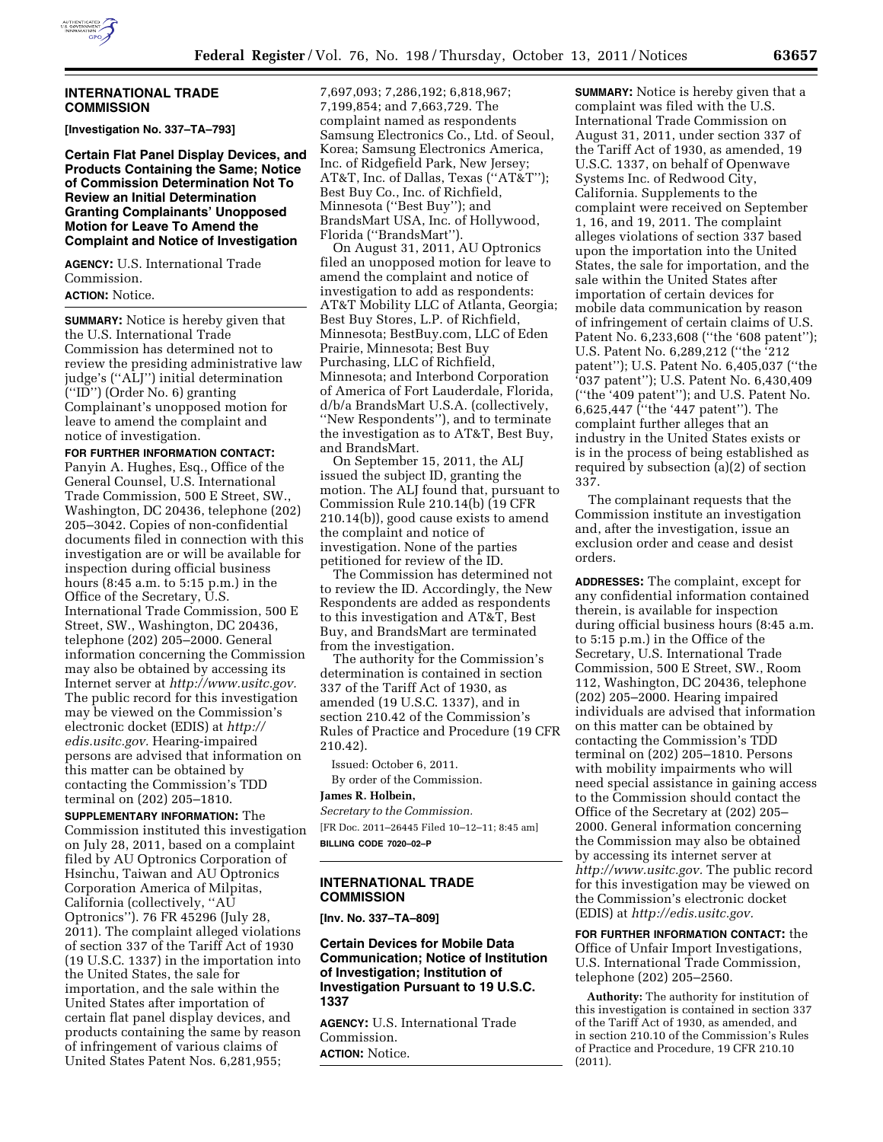

### **INTERNATIONAL TRADE COMMISSION**

**[Investigation No. 337–TA–793]** 

**Certain Flat Panel Display Devices, and Products Containing the Same; Notice of Commission Determination Not To Review an Initial Determination Granting Complainants' Unopposed Motion for Leave To Amend the Complaint and Notice of Investigation** 

**AGENCY:** U.S. International Trade Commission.

# **ACTION:** Notice.

**SUMMARY:** Notice is hereby given that the U.S. International Trade Commission has determined not to review the presiding administrative law judge's (''ALJ'') initial determination (''ID'') (Order No. 6) granting Complainant's unopposed motion for leave to amend the complaint and notice of investigation.

**FOR FURTHER INFORMATION CONTACT:**  Panyin A. Hughes, Esq., Office of the General Counsel, U.S. International Trade Commission, 500 E Street, SW., Washington, DC 20436, telephone (202) 205–3042. Copies of non-confidential documents filed in connection with this investigation are or will be available for inspection during official business hours (8:45 a.m. to 5:15 p.m.) in the Office of the Secretary, U.S. International Trade Commission, 500 E Street, SW., Washington, DC 20436, telephone (202) 205–2000. General information concerning the Commission may also be obtained by accessing its Internet server at *[http://www.usitc.gov.](http://www.usitc.gov)*  The public record for this investigation may be viewed on the Commission's electronic docket (EDIS) at *[http://](http://edis.usitc.gov)  [edis.usitc.gov.](http://edis.usitc.gov)* Hearing-impaired persons are advised that information on this matter can be obtained by contacting the Commission's TDD terminal on (202) 205–1810.

**SUPPLEMENTARY INFORMATION:** The Commission instituted this investigation on July 28, 2011, based on a complaint filed by AU Optronics Corporation of Hsinchu, Taiwan and AU Optronics Corporation America of Milpitas, California (collectively, ''AU Optronics''). 76 FR 45296 (July 28, 2011). The complaint alleged violations of section 337 of the Tariff Act of 1930 (19 U.S.C. 1337) in the importation into the United States, the sale for importation, and the sale within the United States after importation of certain flat panel display devices, and products containing the same by reason of infringement of various claims of United States Patent Nos. 6,281,955;

7,697,093; 7,286,192; 6,818,967; 7,199,854; and 7,663,729. The complaint named as respondents Samsung Electronics Co., Ltd. of Seoul, Korea; Samsung Electronics America, Inc. of Ridgefield Park, New Jersey; AT&T, Inc. of Dallas, Texas (''AT&T''); Best Buy Co., Inc. of Richfield, Minnesota (''Best Buy''); and BrandsMart USA, Inc. of Hollywood, Florida (''BrandsMart'').

On August 31, 2011, AU Optronics filed an unopposed motion for leave to amend the complaint and notice of investigation to add as respondents: AT&T Mobility LLC of Atlanta, Georgia; Best Buy Stores, L.P. of Richfield, Minnesota; BestBuy.com, LLC of Eden Prairie, Minnesota; Best Buy Purchasing, LLC of Richfield, Minnesota; and Interbond Corporation of America of Fort Lauderdale, Florida, d/b/a BrandsMart U.S.A. (collectively, ''New Respondents''), and to terminate the investigation as to AT&T, Best Buy, and BrandsMart.

On September 15, 2011, the ALJ issued the subject ID, granting the motion. The ALJ found that, pursuant to Commission Rule 210.14(b) (19 CFR 210.14(b)), good cause exists to amend the complaint and notice of investigation. None of the parties petitioned for review of the ID.

The Commission has determined not to review the ID. Accordingly, the New Respondents are added as respondents to this investigation and AT&T, Best Buy, and BrandsMart are terminated from the investigation.

The authority for the Commission's determination is contained in section 337 of the Tariff Act of 1930, as amended (19 U.S.C. 1337), and in section 210.42 of the Commission's Rules of Practice and Procedure (19 CFR 210.42).

Issued: October 6, 2011. By order of the Commission.

# **James R. Holbein,**

*Secretary to the Commission.*  [FR Doc. 2011–26445 Filed 10–12–11; 8:45 am] **BILLING CODE 7020–02–P** 

### **INTERNATIONAL TRADE COMMISSION**

**[Inv. No. 337–TA–809]** 

# **Certain Devices for Mobile Data Communication; Notice of Institution of Investigation; Institution of Investigation Pursuant to 19 U.S.C. 1337**

**AGENCY:** U.S. International Trade Commission. **ACTION:** Notice.

**SUMMARY:** Notice is hereby given that a complaint was filed with the U.S. International Trade Commission on August 31, 2011, under section 337 of the Tariff Act of 1930, as amended, 19 U.S.C. 1337, on behalf of Openwave Systems Inc. of Redwood City, California. Supplements to the complaint were received on September 1, 16, and 19, 2011. The complaint alleges violations of section 337 based upon the importation into the United States, the sale for importation, and the sale within the United States after importation of certain devices for mobile data communication by reason of infringement of certain claims of U.S. Patent No. 6,233,608 (''the '608 patent''); U.S. Patent No. 6,289,212 (''the '212 patent''); U.S. Patent No. 6,405,037 (''the '037 patent''); U.S. Patent No. 6,430,409 (''the '409 patent''); and U.S. Patent No. 6,625,447 (''the '447 patent''). The complaint further alleges that an industry in the United States exists or is in the process of being established as required by subsection (a)(2) of section 337.

The complainant requests that the Commission institute an investigation and, after the investigation, issue an exclusion order and cease and desist orders.

**ADDRESSES:** The complaint, except for any confidential information contained therein, is available for inspection during official business hours (8:45 a.m. to 5:15 p.m.) in the Office of the Secretary, U.S. International Trade Commission, 500 E Street, SW., Room 112, Washington, DC 20436, telephone (202) 205–2000. Hearing impaired individuals are advised that information on this matter can be obtained by contacting the Commission's TDD terminal on (202) 205–1810. Persons with mobility impairments who will need special assistance in gaining access to the Commission should contact the Office of the Secretary at (202) 205– 2000. General information concerning the Commission may also be obtained by accessing its internet server at *[http://www.usitc.gov.](http://www.usitc.gov)* The public record for this investigation may be viewed on the Commission's electronic docket (EDIS) at *[http://edis.usitc.gov.](http://edis.usitc.gov)* 

**FOR FURTHER INFORMATION CONTACT:** the Office of Unfair Import Investigations, U.S. International Trade Commission, telephone (202) 205–2560.

**Authority:** The authority for institution of this investigation is contained in section 337 of the Tariff Act of 1930, as amended, and in section 210.10 of the Commission's Rules of Practice and Procedure, 19 CFR 210.10 (2011).